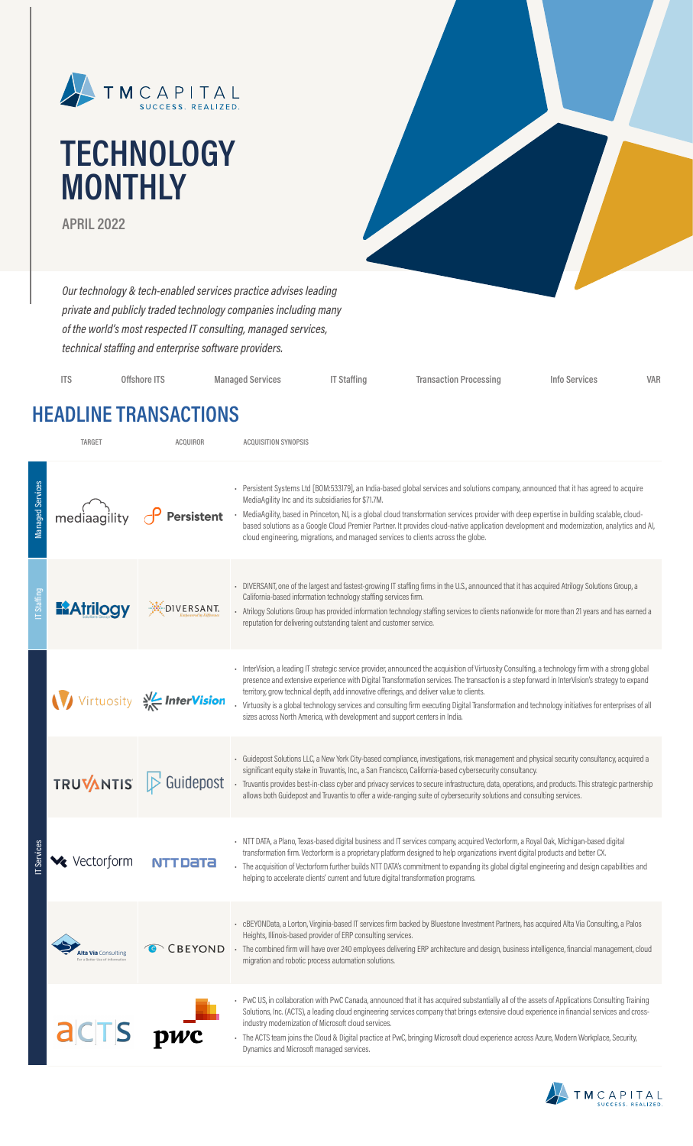

# **TECHNOLOGY MONTHLY**

**APRIL 2022**

*Our technology & tech-enabled services practice advises leading private and publicly traded technology companies including many of the world's most respected IT consulting, managed services, technical staffing and enterprise software providers.*

| <b>ITS</b> | Offshore ITS | <b>Managed Services</b> | <b>IT Staffing</b> | <b>Transaction Processing</b> | Info Services | VAR |
|------------|--------------|-------------------------|--------------------|-------------------------------|---------------|-----|
|            |              |                         |                    |                               |               |     |

### **HEADLINE TRANSACTIONS**

|                         | TARGET                                                        | ACQUIROR                   | <b>ACQUISITION SYNOPSIS</b>                                                                                                                                                                                                                                                                                                                                                                                                                                                                                                                                                                                                      |
|-------------------------|---------------------------------------------------------------|----------------------------|----------------------------------------------------------------------------------------------------------------------------------------------------------------------------------------------------------------------------------------------------------------------------------------------------------------------------------------------------------------------------------------------------------------------------------------------------------------------------------------------------------------------------------------------------------------------------------------------------------------------------------|
| <b>Managed Services</b> | mediaagility                                                  | <b>Persistent</b>          | - Persistent Systems Ltd [BOM:533179], an India-based global services and solutions company, announced that it has agreed to acquire<br>MediaAgility Inc and its subsidiaries for \$71.7M.<br>- MediaAgility, based in Princeton, NJ, is a global cloud transformation services provider with deep expertise in building scalable, cloud-<br>based solutions as a Google Cloud Premier Partner. It provides cloud-native application development and modernization, analytics and AI,<br>cloud engineering, migrations, and managed services to clients across the globe.                                                        |
| <b>T</b> Staffing       | <b>E2Atrilogy</b>                                             | DIVERSANT.                 | - DIVERSANT, one of the largest and fastest-growing IT staffing firms in the U.S., announced that it has acquired Atrilogy Solutions Group, a<br>California-based information technology staffing services firm.<br>- Atrilogy Solutions Group has provided information technology staffing services to clients nationwide for more than 21 years and has earned a<br>reputation for delivering outstanding talent and customer service.                                                                                                                                                                                         |
|                         |                                                               | Virtuosity V/C InterVision | InterVision, a leading IT strategic service provider, announced the acquisition of Virtuosity Consulting, a technology firm with a strong global<br>presence and extensive experience with Digital Transformation services. The transaction is a step forward in InterVision's strategy to expand<br>territory, grow technical depth, add innovative offerings, and deliver value to clients.<br>Virtuosity is a global technology services and consulting firm executing Digital Transformation and technology initiatives for enterprises of all<br>sizes across North America, with development and support centers in India. |
|                         | <b>TRUVANTIS</b>                                              | $\triangleright$ Guidepost | - Guidepost Solutions LLC, a New York City-based compliance, investigations, risk management and physical security consultancy, acquired a<br>significant equity stake in Truvantis, Inc., a San Francisco, California-based cybersecurity consultancy.<br>- Truvantis provides best-in-class cyber and privacy services to secure infrastructure, data, operations, and products. This strategic partnership<br>allows both Guidepost and Truvantis to offer a wide-ranging suite of cybersecurity solutions and consulting services.                                                                                           |
| <b>Services</b>         | Vectorform                                                    | NTT DATA                   | - NTT DATA, a Plano, Texas-based digital business and IT services company, acquired Vectorform, a Royal Oak, Michigan-based digital<br>transformation firm. Vectorform is a proprietary platform designed to help organizations invent digital products and better CX.<br>- The acquisition of Vectorform further builds NTT DATA's commitment to expanding its global digital engineering and design capabilities and<br>helping to accelerate clients' current and future digital transformation programs.                                                                                                                     |
|                         | <b>Alta Via</b> Consulting<br>For a Better Use of Information |                            | - cBEYONData, a Lorton, Virginia-based IT services firm backed by Bluestone Investment Partners, has acquired Alta Via Consulting, a Palos<br>Heights, Illinois-based provider of ERP consulting services.<br>CBEYOND · The combined firm will have over 240 employees delivering ERP architecture and design, business intelligence, financial management, cloud<br>migration and robotic process automation solutions.                                                                                                                                                                                                         |
|                         | <b>a</b> CTS                                                  | $\mathbf{p}$               | - PwC US, in collaboration with PwC Canada, announced that it has acquired substantially all of the assets of Applications Consulting Training<br>Solutions, Inc. (ACTS), a leading cloud engineering services company that brings extensive cloud experience in financial services and cross-<br>industry modernization of Microsoft cloud services.<br>- The ACTS team joins the Cloud & Digital practice at PwC, bringing Microsoft cloud experience across Azure, Modern Workplace, Security,<br>Dynamics and Microsoft managed services.                                                                                    |

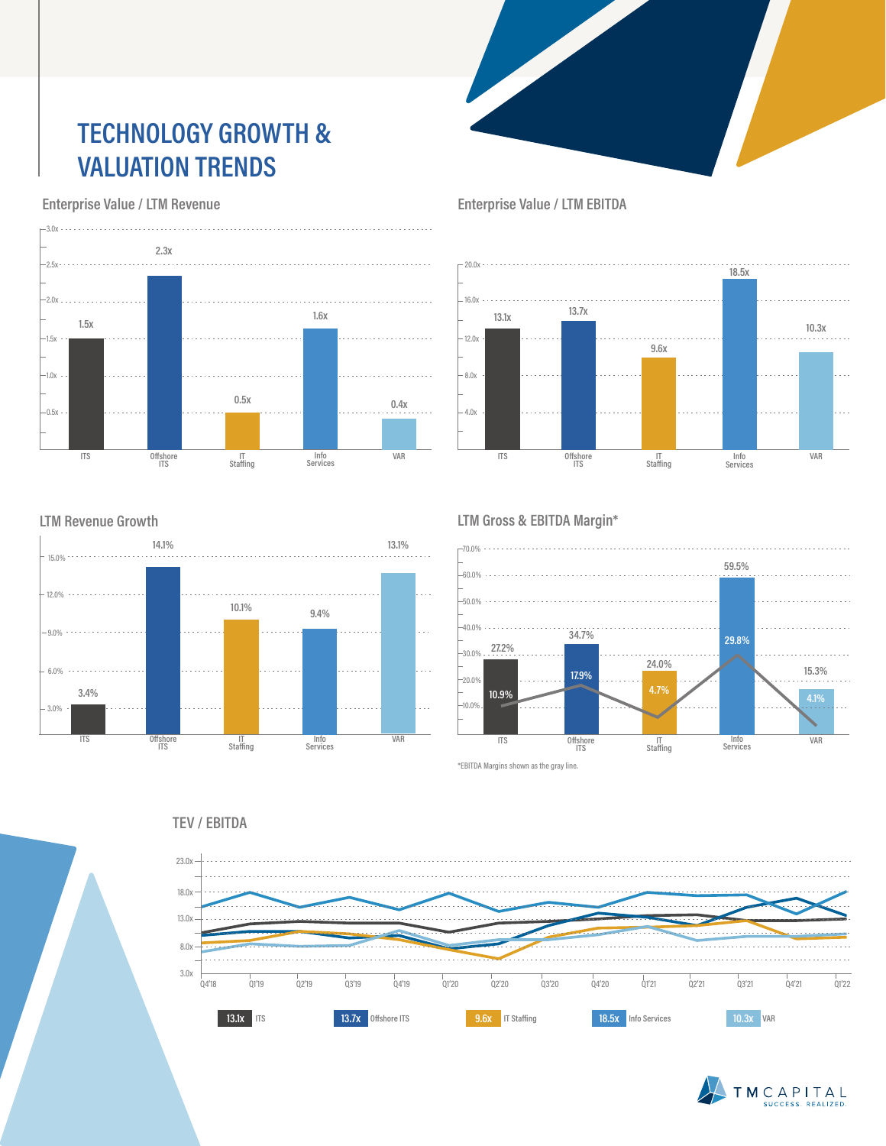## **TECHNOLOGY GROWTH & VALUATION TRENDS**

 **Enterprise Value / LTM Revenue**



**LTM Revenue Growth**



 **Enterprise Value / LTM EBITDA**



#### **LTM Gross & EBITDA Margin\***



**TEV / EBITDA**